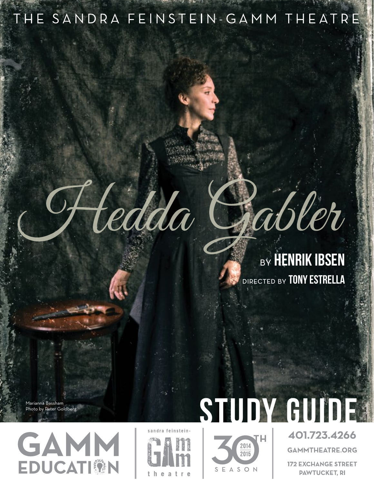# THE SANDRA FEINSTEIN-GAMM THEATRE

# rabler **BY HENRIK IBSEN**

DIRECTED BY TONY ESTRELLA

Marianna Bassham Photo by Peter Goldberg





Fledda



**GAMMTHEATRE.ORG** 

**172 EXCHANGE STREET PAWTUCKET, RI**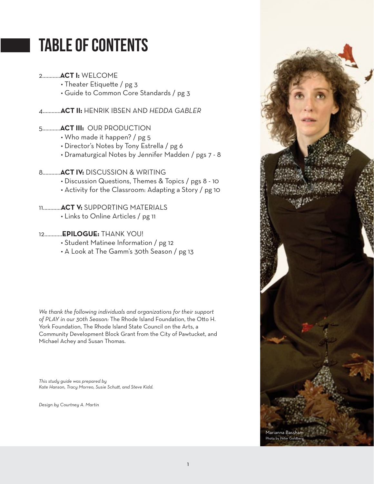# Table of Contents

#### 2............**ACT I:** WELCOME

- Theater Etiquette / pg 3
- Guide to Common Core Standards / pg 3

4............**ACTII** HENRIK IBSEN AND *HEDDA GABLER*

#### 5............**ACT III:** OUR PRODUCTION

- Who made it happen? / pg 5
- Director's Notes by Tony Estrella / pg 6

• Dramaturgical Notes by Jennifer Madden / pgs 7 - 8

#### 8............**ACT IV:** DISCUSSION & WRITING

- Discussion Questions, Themes & Topics / pgs 8 10
- Activity for the Classroom: Adapting a Story / pg 10

#### 11............**ACT V:** SUPPORTING MATERIALS

• Links to Online Articles / pg 11

#### 12...........**.EPILOGUE:** THANK YOU!

- Student Matinee Information / pg 12
- A Look at The Gamm's 30th Season / pg 13

*We thank the following individuals and organizations for their support*  of PLAY in our 30th Season: The Rhode Island Foundation, the Otto H. York Foundation, The Rhode Island State Council on the Arts, a Community Development Block Grant from the City of Pawtucket, and Michael Achey and Susan Thomas.

*This study guide was prepared by* Kate Hanson, Tracy Morreo, Susie Schutt, and Steve Kidd.

*Design by Courtney A. Martin*

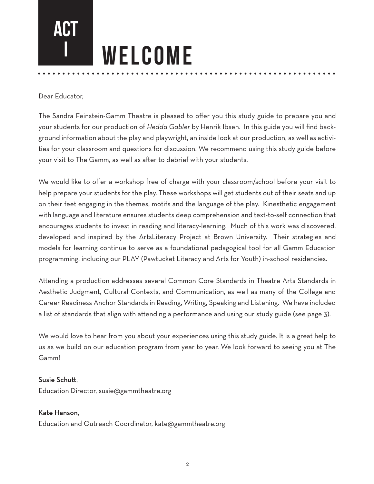

Dear Educator,

The Sandra Feinstein-Gamm Theatre is pleased to offer you this study guide to prepare you and your students for our production of *Hedda Gabler* by Henrik Ibsen. In this guide you will find background information about the play and playwright, an inside look at our production, as well as activities for your classroom and questions for discussion. We recommend using this study guide before your visit to The Gamm, as well as after to debrief with your students.

We would like to offer a workshop free of charge with your classroom/school before your visit to help prepare your students for the play. These workshops will get students out of their seats and up on their feet engaging in the themes, motifs and the language of the play. Kinesthetic engagement with language and literature ensures students deep comprehension and text-to-self connection that encourages students to invest in reading and literacy-learning. Much of this work was discovered, developed and inspired by the ArtsLiteracy Project at Brown University. Their strategies and models for learning continue to serve as a foundational pedagogical tool for all Gamm Education programming, including our PLAY (Pawtucket Literacy and Arts for Youth) in-school residencies.

Attending a production addresses several Common Core Standards in Theatre Arts Standards in Aesthetic Judgment, Cultural Contexts, and Communication, as well as many of the College and Career Readiness Anchor Standards in Reading, Writing, Speaking and Listening. We have included a list of standards that align with attending a performance and using our study guide (see page 3).

We would love to hear from you about your experiences using this study guide. It is a great help to us as we build on our education program from year to year. We look forward to seeing you at The Gamm!

#### Susie Schutt.

Education Director, susie@gammtheatre.org

#### Kate Hanson,

Education and Outreach Coordinator, kate@gammtheatre.org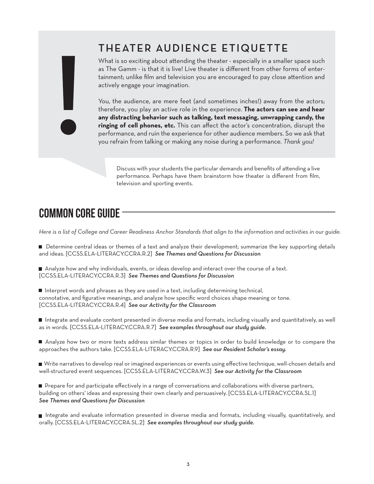## THEATER AUDIENCE ETIQUETTE

What is so exciting about attending the theater - especially in a smaller space such as The Gamm - is that it is live! Live theater is different from other forms of entertainment; unlike film and television you are encouraged to pay close attention and actively engage your imagination.

You, the audience, are mere feet (and sometimes inches!) away from the actors; therefore, you play an active role in the experience. **The actors can see and hear any distracting behavior such as talking, text messaging, unwrapping candy, the ringing of cell phones, etc.** This can affect the actor's concentration, disrupt the performance, and ruin the experience for other audience members. So we ask that you refrain from talking or making any noise during a performance. *Thank you!*

Discuss with your students the particular demands and benefits of attending a live performance. Perhaps have them brainstorm how theater is different from film, television and sporting events.

# Common Core Guide

*Here is a list of College and Career Readiness Anchor Standards that align to the information and activities in our guide:*

Determine central ideas or themes of a text and analyze their development; summarize the key supporting details and ideas. CCSSELA-LITERACYCCRAR*See Themes and Questions for Discussion*

Analyze how and why individuals, events, or ideas develop and interact over the course of a text. [CCSS.ELA-LITERACY.CCRA.R.3] See Themes and Questions for Discussion

Interpret words and phrases as they are used in a text, including determining technical, connotative, and figurative meanings, and analyze how specific word choices shape meaning or tone. CCSSELA-LITERACYCCRAR*See our Activity for the Classroom*

 Integrate and evaluate content presented in diverse media and formats, including visually and quantitatively, as well as in words. [CCSS.ELA-LITERACY.CCRA.R.7] See examples throughout our study guide.

 Analyze how two or more texts address similar themes or topics in order to build knowledge or to compare the approaches the authors take. [CCSS.ELA-LITERACY.CCRA.R.9] See our Resident Scholar's essay.

 Write narratives to develop real or imagined experiences or events using effective technique, well-chosen details and well-structured event sequences. [CCSS.ELA-LITERACY.CCRA.W.3] See our Activity for the Classroom

Prepare for and participate effectively in a range of conversations and collaborations with diverse partners, building on others' ideas and expressing their own clearly and persuasively. [CCSS.ELA-LITERACY.CCRA.SL.1] *See Themes and Questions for Discussion*

 Integrate and evaluate information presented in diverse media and formats, including visually, quantitatively, and orally. CCSSELA-LITERACYCCRASL*See examples throughout our study guide.*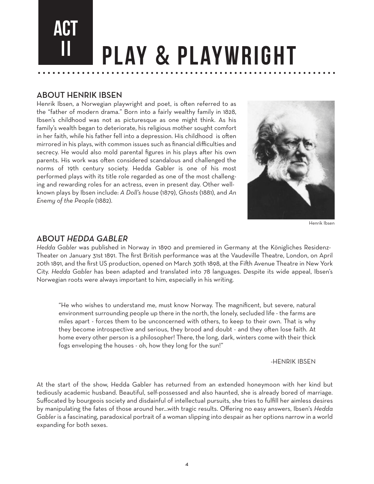

#### **ABOUT HENRIK IBSEN**

Henrik Ibsen, a Norwegian playwright and poet, is often referred to as the "father of modern drama." Born into a fairly wealthy family in 1828, Ibsen's childhood was not as picturesque as one might think. As his family's wealth began to deteriorate, his religious mother sought comfort in her faith, while his father fell into a depression. His childhood is often mirrored in his plays, with common issues such as financial difficulties and secrecy. He would also mold parental figures in his plays after his own parents. His work was often considered scandalous and challenged the norms of 19th century society. Hedda Gabler is one of his most performed plays with its title role regarded as one of the most challenging and rewarding roles for an actress, even in present day. Other wellknown plays by Ibsen include: *A Doll's house* (1879), *Ghosts* (1881), and *An Enemy of the People* (1882).



Henrik Ibsen

#### ABOUT*HEDDAGABLER*

*Hedda Gabler* was published in Norway in 1890 and premiered in Germany at the Königliches Residenz-Theater on January 31st 1891. The first British performance was at the Vaudeville Theatre, London, on April 20th 1891, and the first US production, opened on March 30th 1898, at the Fih Avenue Theatre in New York City. *Hedda Gabler* has been adapted and translated into 78 languages. Despite its wide appeal, Ibsen's Norwegian roots were always important to him, especially in his writing.

"He who wishes to understand me, must know Norway. The magnificent, but severe, natural environment surrounding people up there in the north, the lonely, secluded life - the farms are miles apart - forces them to be unconcerned with others, to keep to their own. That is why they become introspective and serious, they brood and doubt - and they often lose faith. At home every other person is a philosopher! There, the long, dark, winters come with their thick fogs enveloping the houses - oh, how they long for the sun!"

-HENRIKIBSEN

At the start of the show, Hedda Gabler has returned from an extended honeymoon with her kind but tediously academic husband. Beautiful, self-possessed and also haunted, she is already bored of marriage. Suffocated by bourgeois society and disdainful of intellectual pursuits, she tries to fulfill her aimless desires by manipulating the fates of those around her...with tragic results. Offering no easy answers, Ibsen's *Hedda Gabler* is a fascinating, paradoxical portrait of a woman slipping into despair as her options narrow in a world expanding for both sexes.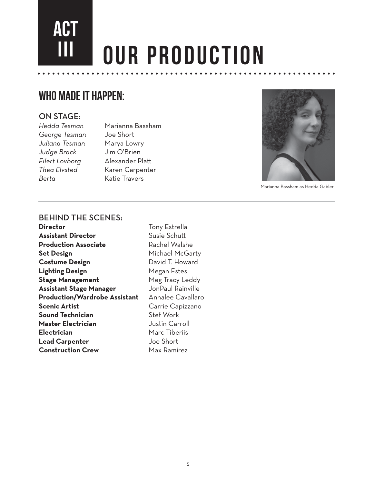# ACT **OUR PRODUCTION**

## WHO MADE IT HAPPEN:

#### ON STAGE:

*George Tesman* Joe Short *Juliana Tesman*Marya Lowry *Judge Brack* Jim O'Brien *Eilert Lovborg*Alexander Pla **Berta** Katie Travers

*Hedda Tesman* Marianna Bassham *Thea Elvsted* Karen Carpenter



Marianna Bassham as Hedda Gabler

#### **BEHIND THE SCENES:**

**Director Tony Estrella Assistant Director** Susie Schutt **Production Associate Rachel Walshe Set Design Michael McGarty Costume Design Costume David T. Howard Lighting Design Steam Accord Megan Estes Stage Management** Meg Tracy Leddy **Assistant Stage Manager** JonPaul Rainville **Production/Wardrobe Assistant** Annalee Cavallaro **Scenic Artist** Carrie Capizzano **Sound Technician** Stef Work **Master Electrician** Justin Carroll **Electrician** Marc Tiberiis **Lead Carpenter Lead Carpenter Construction Crew** Max Ramirez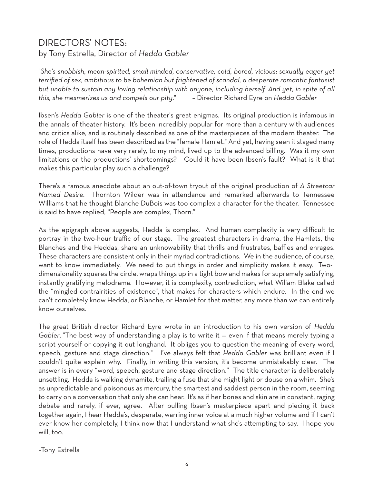### DIRECTORS'NOTES by Tony Estrella, Director of *Hedda Gabler*

"*She's snobbish, mean-spirited, small minded, conservative, cold, bored, vicious; sexually eager yet terrified of sex, ambitious to be bohemian but frightened of scandal, a desperate romantic fantasist but unable to sustain any loving relationship with anyone, including herself. And yet, in spite of all this, she mesmerizes us and compels our pity*." – Director Richard Eyre on *Hedda Gabler*

Ibsen's *Hedda Gabler* is one of the theater's great enigmas. Its original production is infamous in the annals of theater history. It's been incredibly popular for more than a century with audiences and critics alike, and is routinely described as one of the masterpieces of the modern theater. The role of Hedda itself has been described as the "female Hamlet." And yet, having seen it staged many times, productions have very rarely, to my mind, lived up to the advanced billing. Was it my own limitations or the productions' shortcomings? Could it have been Ibsen's fault? What is it that makes this particular play such a challenge?

There's a famous anecdote about an out-of-town tryout of the original production of *A Streetcar Named Desire.* Thornton Wilder was in attendance and remarked afterwards to Tennessee Williams that he thought Blanche DuBois was too complex a character for the theater. Tennessee is said to have replied, "People are complex, Thorn."

As the epigraph above suggests, Hedda is complex. And human complexity is very difficult to portray in the two-hour traffic of our stage. The greatest characters in drama, the Hamlets, the Blanches and the Heddas, share an unknowability that thrills and frustrates, baffles and enrages. These characters are consistent only in their myriad contradictions. We in the audience, of course, want to know immediately. We need to put things in order and simplicity makes it easy. Twodimensionality squares the circle, wraps things up in a tight bow and makes for supremely satisfying, instantly gratifying melodrama. However, it is complexity, contradiction, what Wiliam Blake called the "mingled contrairities of existence", that makes for characters which endure. In the end we can't completely know Hedda, or Blanche, or Hamlet for that matter, any more than we can entirely know ourselves.

The great British director Richard Eyre wrote in an introduction to his own version of *Hedda Gabler*, "The best way of understanding a play is to write it — even if that means merely typing a script yourself or copying it out longhand. It obliges you to question the meaning of every word, speech, gesture and stage direction." I've always felt that *Hedda Gabler* was brilliant even if I couldn't quite explain why. Finally, in writing this version, it's become unmistakably clear. The answer is in every "word, speech, gesture and stage direction." The title character is deliberately unsettling. Hedda is walking dynamite, trailing a fuse that she might light or douse on a whim. She's as unpredictable and poisonous as mercury, the smartest and saddest person in the room, seeming to carry on a conversation that only she can hear. It's as if her bones and skin are in constant, raging debate and rarely, if ever, agree. After pulling Ibsen's masterpiece apart and piecing it back together again, I hear Hedda's, desperate, warring inner voice at a much higher volume and if I can't ever know her completely, I think now that I understand what she's attempting to say. I hope you will, too.

–Tony Estrella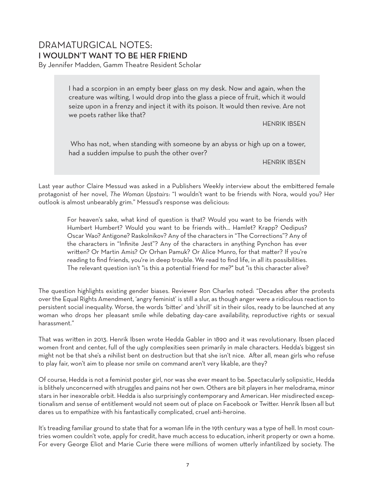### DRAMATURGICAL NOTES: I WOULDN'T WANT TO BE HER FRIEND

By Jennifer Madden, Gamm Theatre Resident Scholar

I had a scorpion in an empty beer glass on my desk. Now and again, when the creature was wilting, I would drop into the glass a piece of fruit, which it would seize upon in a frenzy and inject it with its poison. It would then revive. Are not we poets rather like that?

**HENRIK IBSEN** 

 Who has not, when standing with someone by an abyss or high up on a tower, had a sudden impulse to push the other over?

HENRIKIBSEN

Last year author Claire Messud was asked in a Publishers Weekly interview about the embittered female protagonist of her novel, *The Woman Upstairs*: "I wouldn't want to be friends with Nora, would you? Her outlook is almost unbearably grim." Messud's response was delicious:

For heaven's sake, what kind of question is that? Would you want to be friends with Humbert Humbert? Would you want to be friends with… Hamlet? Krapp? Oedipus? Oscar Wao? Antigone? Raskolnikov? Any of the characters in "The Corrections"? Any of the characters in "Infinite Jest"? Any of the characters in anything Pynchon has ever written? Or Martin Amis? Or Orhan Pamuk? Or Alice Munro, for that matter? If you're reading to find friends, you're in deep trouble. We read to find life, in all its possibilities. The relevant question isn't "is this a potential friend for me?" but "is this character alive?

The question highlights existing gender biases. Reviewer Ron Charles noted: "Decades after the protests over the Equal Rights Amendment, 'angry feminist' is still a slur, as though anger were a ridiculous reaction to persistent social inequality. Worse, the words 'bitter' and 'shrill' sit in their silos, ready to be launched at any woman who drops her pleasant smile while debating day-care availability, reproductive rights or sexual harassment."

That was written in 2013. Henrik Ibsen wrote Hedda Gabler in 1890 and it was revolutionary. Ibsen placed women front and center, full of the ugly complexities seen primarily in male characters. Hedda's biggest sin might not be that she's a nihilist bent on destruction but that she isn't nice. After all, mean girls who refuse to play fair, won't aim to please nor smile on command aren't very likable, are they?

Of course, Hedda is not a feminist poster girl, nor was she ever meant to be. Spectacularly solipsistic, Hedda is blithely unconcerned with struggles and pains not her own. Others are bit players in her melodrama, minor stars in her inexorable orbit. Hedda is also surprisingly contemporary and American. Her misdirected exceptionalism and sense of entitlement would not seem out of place on Facebook or Twitter. Henrik Ibsen all but dares us to empathize with his fantastically complicated, cruel anti-heroine.

It's treading familiar ground to state that for a woman life in the 19th century was a type of hell. In most countries women couldn't vote, apply for credit, have much access to education, inherit property or own a home. For every George Eliot and Marie Curie there were millions of women utterly infantilized by society. The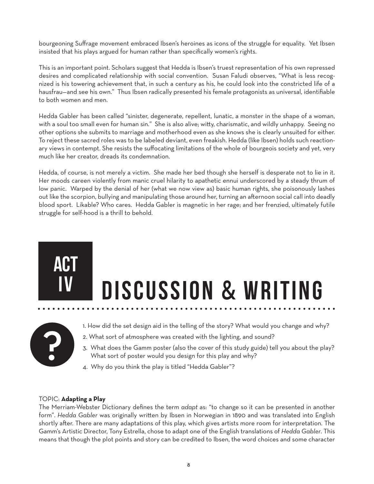bourgeoning Suffrage movement embraced Ibsen's heroines as icons of the struggle for equality. Yet Ibsen insisted that his plays argued for human rather than specifically women's rights.

This is an important point. Scholars suggest that Hedda is Ibsen's truest representation of his own repressed desires and complicated relationship with social convention. Susan Faludi observes, "What is less recognized is his towering achievement that, in such a century as his, he could look into the constricted life of a hausfrau—and see his own." Thus Ibsen radically presented his female protagonists as universal, identifiable to both women and men.

Hedda Gabler has been called "sinister, degenerate, repellent, lunatic, a monster in the shape of a woman, with a soul too small even for human sin." She is also alive; witty, charismatic, and wildly unhappy. Seeing no other options she submits to marriage and motherhood even as she knows she is clearly unsuited for either. To reject these sacred roles was to be labeled deviant, even freakish. Hedda (like Ibsen) holds such reactionary views in contempt. She resists the suffocating limitations of the whole of bourgeois society and yet, very much like her creator, dreads its condemnation.

Hedda, of course, is not merely a victim. She made her bed though she herself is desperate not to lie in it. Her moods careen violently from manic cruel hilarity to apathetic ennui underscored by a steady thrum of low panic. Warped by the denial of her (what we now view as) basic human rights, she poisonously lashes out like the scorpion, bullying and manipulating those around her, turning an afternoon social call into deadly blood sport. Likable? Who cares. Hedda Gabler is magnetic in her rage; and her frenzied, ultimately futile struggle for self-hood is a thrill to behold.

# **DISCUSSION & WRITING**



- 1. How did the set design aid in the telling of the story? What would you change and why?
- 2. What sort of atmosphere was created with the lighting, and sound?
- 3. What does the Gamm poster (also the cover of this study guide) tell you about the play? What sort of poster would you design for this play and why?
- 4. Why do you think the play is titled "Hedda Gabler"?

#### TOPIC: **Adapting a Play**

ACT

The Merriam-Webster Dictionary defines the term *adapt* as: "to change so it can be presented in another form". Hedda Gabler was originally written by Ibsen in Norwegian in 1890 and was translated into English shortly after. There are many adaptations of this play, which gives artists more room for interpretation. The Gamm's Artistic Director, Tony Estrella, chose to adapt one of the English translations of *Hedda Gabler*. This means that though the plot points and story can be credited to Ibsen, the word choices and some character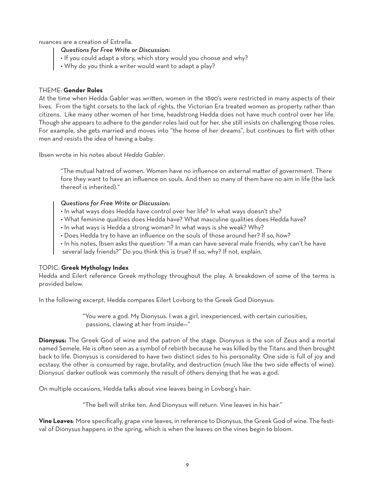nuances are a creation of Estrella.

- *Questions for Free Write or Discussion:*
- If you could adapt a story, which story would you choose and why?
- Why do you think a writer would want to adapt a play?

#### THEME: **Gender Roles**

At the time when Hedda Gabler was written, women in the 1890's were restricted in many aspects of their lives. From the tight corsets to the lack of rights, the Victorian Era treated women as property rather than citizens. Like many other women of her time, headstrong Hedda does not have much control over her life. Though she appears to adhere to the gender roles laid out for her, she still insists on challenging those roles. For example, she gets married and moves into "the home of her dreams", but continues to flirt with other men and resists the idea of having a baby.

Ibsen wrote in his notes about *Hedda Gabler*:

"The mutual hatred of women. Women have no influence on external matter of government. There fore they want to have an influence on souls. And then so many of them have no aim in life (the lack thereof is inherited)."

#### *Questions for Free Write or Discussion:*

- In what ways does Hedda have control over her life? In what ways doesn't she?
- What feminine qualities does Hedda have? What masculine qualities does Hedda have?
- In what ways is Hedda a strong woman? In what ways is she weak? Why?
- Does Hedda try to have an influence on the souls of those around her? If so, how?
- In his notes, Ibsen asks the question: "If a man can have several male friends, why can't he have several lady friends?" Do you think this is true? If so, why? If not, explain.

#### TOPIC: **Greek Mythology Index**

Hedda and Eilert reference Greek mythology throughout the play. A breakdown of some of the terms is provided below.

In the following excerpt, Hedda compares Eilert Lovborg to the Greek God Dionysus:

 "You were a god. My Dionysus. I was a girl, inexperienced, with certain curiosities, passions, clawing at her from inside—"

**Dionysus:** The Greek God of wine and the patron of the stage. Dionysus is the son of Zeus and a mortal named Semele. He is often seen as a symbol of rebirth because he was killed by the Titans and then brought back to life. Dionysus is considered to have two distinct sides to his personality. One side is full of joy and ecstasy, the other is consumed by rage, brutality, and destruction (much like the two side effects of wine). Dionysus' darker outlook was commonly the result of others denying that he was a god.

On multiple occasions, Hedda talks about vine leaves being in Lovborg's hair:

"The bell will strike ten. And Dionysus will return. Vine leaves in his hair."

**Vine Leaves**: More specifically, grape vine leaves, in reference to Dionysus, the Greek God of wine. The festival of Dionysus happens in the spring, which is when the leaves on the vines begin to bloom.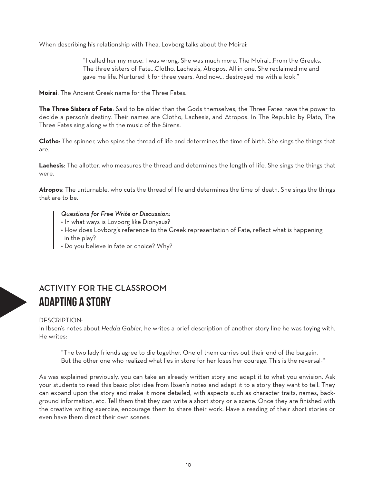When describing his relationship with Thea, Lovborg talks about the Moirai:

 "I called her my muse. I was wrong. She was much more. The Moirai…From the Greeks. The three sisters of Fate…Clotho, Lachesis, Atropos. All in one. She reclaimed me and gave me life. Nurtured it for three years. And now… destroyed me with a look."

**Moirai**: The Ancient Greek name for the Three Fates.

**The Three Sisters of Fate**: Said to be older than the Gods themselves, the Three Fates have the power to decide a person's destiny. Their names are Clotho, Lachesis, and Atropos. In The Republic by Plato, The Three Fates sing along with the music of the Sirens.

**Clotho**: The spinner, who spins the thread of life and determines the time of birth. She sings the things that are.

Lachesis: The allotter, who measures the thread and determines the length of life. She sings the things that were.

**Atropos**: The unturnable, who cuts the thread of life and determines the time of death. She sings the things that are to be.

#### *Questions for Free Write or Discussion:*

- In what ways is Lovborg like Dionysus?
- How does Lovborg's reference to the Greek representation of Fate, reflect what is happening | in the play?
	- Do you believe in fate or choice? Why?

## ACTIVITY FOR THE CLASSROOM adapting a story

#### DESCRIPTION

In Ibsen's notes about *Hedda Gabler*, he writes a brief description of another story line he was toying with. He writes:

 "The two lady friends agree to die together. One of them carries out their end of the bargain. But the other one who realized what lies in store for her loses her courage. This is the reversal-"

As was explained previously, you can take an already written story and adapt it to what you envision. Ask your students to read this basic plot idea from Ibsen's notes and adapt it to a story they want to tell. They can expand upon the story and make it more detailed, with aspects such as character traits, names, background information, etc. Tell them that they can write a short story or a scene. Once they are finished with the creative writing exercise, encourage them to share their work. Have a reading of their short stories or even have them direct their own scenes.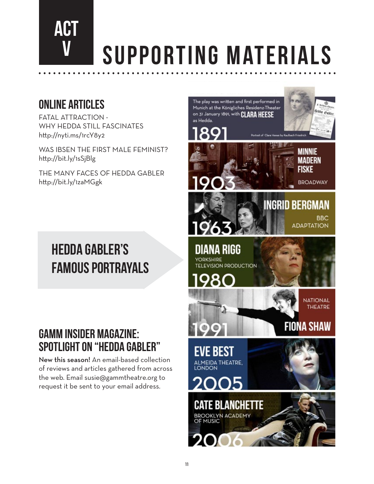# ACT SUPPORTING MATERIALS

# Online Articles

FATAL ATTRACTION -WHY HEDDA STILL FASCINATES http://nyti.ms/1rcY8y2

WAS IBSEN THE FIRST MALE FEMINIST? http://bit.ly/1sSjBlg

THE MANY FACES OF HEDDA GABLER http://bit.ly/1zaMGgk

# Hedda gabler's FAMOUS PORTRAYALS

# GAMM INSIDER MAGAZINE: SPotlight on "HEDDA GABLER"

New this season! An email-based collection of reviews and articles gathered from across the web. Email susie@gammtheatre.org to request it be sent to your email address.

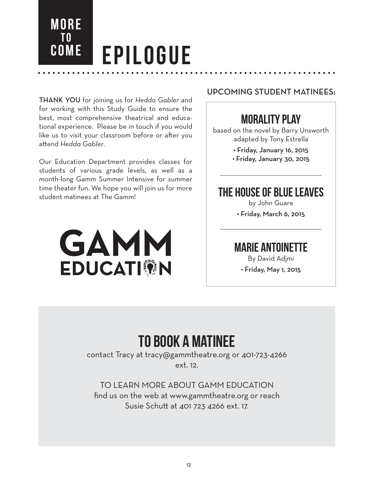**EPILOGUE** 

THANKYOU for joining us for *Hedda Gabler* and for working with this Study Guide to ensure the best, most comprehensive theatrical and educational experience. Please be in touch if you would like us to visit your classroom before or after you attend *Hedda Gabler*.

**MORE** 

nd<br>Come

Our Education Department provides classes for students of various grade levels, as well as a month-long Gamm Summer Intensive for summer time theater fun. We hope you will join us for more student matinees at The Gamm!



#### UPCOMING STUDENT MATINEES:

## MORALITY PLAY

based on the novel by Barry Unsworth adapted by Tony Estrella

> • Friday, January 16, 2015 • Friday, January 30, 2015

## THE HOUSE OF BLUE LEAVES

by John Guare

• Friday, March 6, 2015

### MARIE ANTOINETTE

By David Adjmi

• Friday, May 1, 2015

# To book a matinee

contact Tracy at tracy@gammtheatre.org or 401-723-4266 ext. 12.

TO LEARN MORE ABOUT GAMM EDUCATION find us on the web at www.gammtheatre.org or reach Susie Schutt at 401 723 4266 ext. 17.